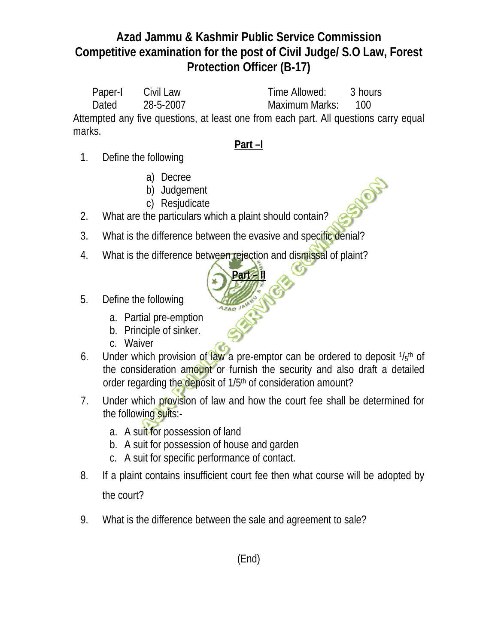Paper-I Civil Law Time Allowed: 3 hours Dated 28-5-2007 Maximum Marks: 100 Attempted any five questions, at least one from each part. All questions carry equal marks.

#### **Part –I**

SIDER

- 1. Define the following
	- a) Decree
	- b) Judgement
	- c) Resjudicate
- 2. What are the particulars which a plaint should contain?
- 3. What is the difference between the evasive and specific denial?
- 4. What is the difference between rejection and dismissal of plaint?
- 5. Define the following
	- a. Partial pre-emption
	- b. Principle of sinker.
	- c. Waiver
- 6. Under which provision of law a pre-emptor can be ordered to deposit  $1/s<sup>th</sup>$  of the consideration amount or furnish the security and also draft a detailed order regarding the deposit of 1/5<sup>th</sup> of consideration amount?

**Part – II**

- 7. Under which provision of law and how the court fee shall be determined for the following suits:
	- a. A suit for possession of land
	- b. A suit for possession of house and garden
	- c. A suit for specific performance of contact.
- 8. If a plaint contains insufficient court fee then what course will be adopted by the court?
- 9. What is the difference between the sale and agreement to sale?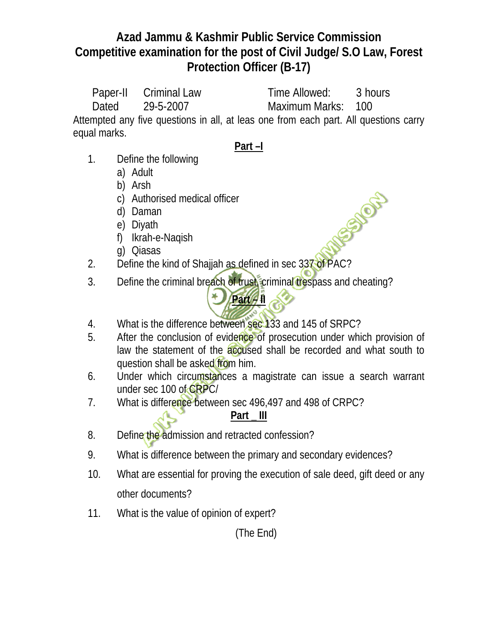Paper-II Criminal Law Time Allowed: 3 hours Dated 29-5-2007 Maximum Marks: 100 Attempted any five questions in all, at leas one from each part. All questions carry

equal marks.

# **Part –I**

- 1. Define the following
	- a) Adult
	- b) Arsh
	- c) Authorised medical officer
	- d) Daman
	- e) Diyath
	- f) Ikrah-e-Naqish
	- g) Qiasas
- 2. Define the kind of Shajjah as defined in sec  $337$  of PAC?
- 3. Define the criminal breach of trust, criminal trespass and cheating?

**Part 4 1** 

1850 OF

- 4. What is the difference between sec 133 and 145 of SRPC?
- 5. After the conclusion of evidence of prosecution under which provision of law the statement of the accused shall be recorded and what south to question shall be asked from him.
- 6. Under which circumstances a magistrate can issue a search warrant under sec 100 of CRPC/
- 7. What is difference between sec 496,497 and 498 of CRPC?

# **Part \_ III**

- 8. Define the admission and retracted confession?
- 9. What is difference between the primary and secondary evidences?
- 10. What are essential for proving the execution of sale deed, gift deed or any other documents?
- 11. What is the value of opinion of expert?

(The End)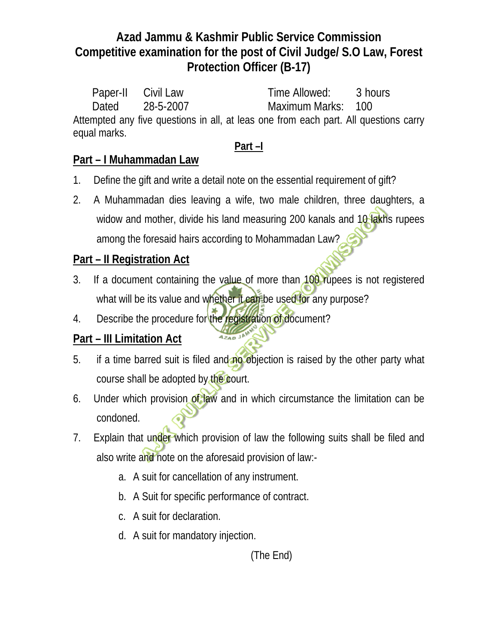Paper-II Civil Law Time Allowed: 3 hours Dated 28-5-2007 Maximum Marks: 100 Attempted any five questions in all, at leas one from each part. All questions carry equal marks.

### **Part –I**

### **Part – I Muhammadan Law**

- 1. Define the gift and write a detail note on the essential requirement of gift?
- 2. A Muhammadan dies leaving a wife, two male children, three daughters, a widow and mother, divide his land measuring 200 kanals and 10 lakhs rupees among the foresaid hairs according to Mohammadan Law?

### **Part – II Registration Act**

- 3. If a document containing the value of more than 100 rupees is not registered what will be its value and whether it can be used for any purpose?
- 4. Describe the procedure for the registration of document?

# **Part – III Limitation Act**

5. if a time barred suit is filed and no objection is raised by the other party what course shall be adopted by the court.

**AZAD 3** 

- 6. Under which provision of law and in which circumstance the limitation can be condoned.
- 7. Explain that under which provision of law the following suits shall be filed and also write and note on the aforesaid provision of law:
	- a. A suit for cancellation of any instrument.
	- b. A Suit for specific performance of contract.
	- c. A suit for declaration.
	- d. A suit for mandatory injection.

(The End)